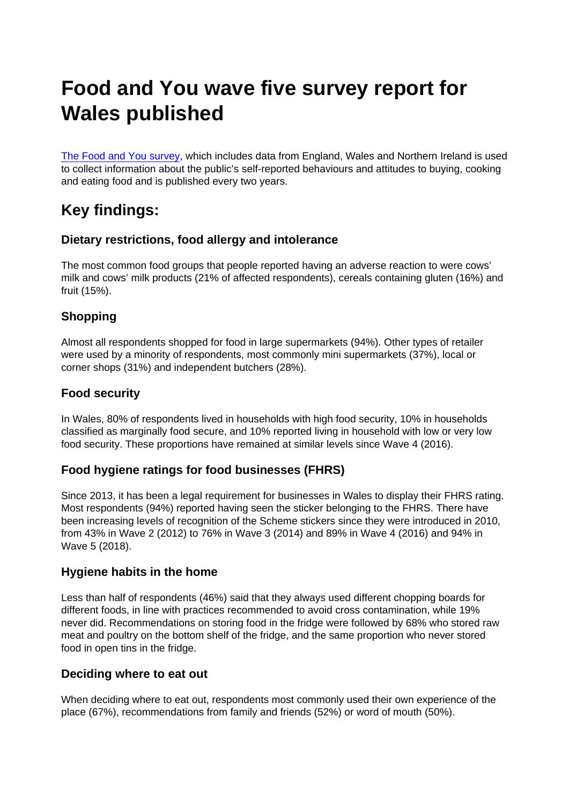# Food and You wave five survey report for Wales published

[The Food and You survey](https://www.food.gov.uk/research/food-and-you/food-and-you-wave-five), which includes data from England, Wales and Northern Ireland is used to collect information about the public's self-reported behaviours and attitudes to buying, cooking and eating food and is published every two years.

## Key findings:

### Dietary restrictions, food allergy and intolerance

The most common food groups that people reported having an adverse reaction to were cows' milk and cows' milk products (21% of affected respondents), cereals containing gluten (16%) and fruit (15%).

### **Shopping**

Almost all respondents shopped for food in large supermarkets (94%). Other types of retailer were used by a minority of respondents, most commonly mini supermarkets (37%), local or corner shops (31%) and independent butchers (28%).

#### Food security

In Wales, 80% of respondents lived in households with high food security, 10% in households classified as marginally food secure, and 10% reported living in household with low or very low food security. These proportions have remained at similar levels since Wave 4 (2016).

#### Food hygiene ratings for food businesses (FHRS)

Since 2013, it has been a legal requirement for businesses in Wales to display their FHRS rating. Most respondents (94%) reported having seen the sticker belonging to the FHRS. There have been increasing levels of recognition of the Scheme stickers since they were introduced in 2010, from 43% in Wave 2 (2012) to 76% in Wave 3 (2014) and 89% in Wave 4 (2016) and 94% in Wave 5 (2018).

#### Hygiene habits in the home

Less than half of respondents (46%) said that they always used different chopping boards for different foods, in line with practices recommended to avoid cross contamination, while 19% never did. Recommendations on storing food in the fridge were followed by 68% who stored raw meat and poultry on the bottom shelf of the fridge, and the same proportion who never stored food in open tins in the fridge.

#### Deciding where to eat out

When deciding where to eat out, respondents most commonly used their own experience of the place (67%), recommendations from family and friends (52%) or word of mouth (50%).